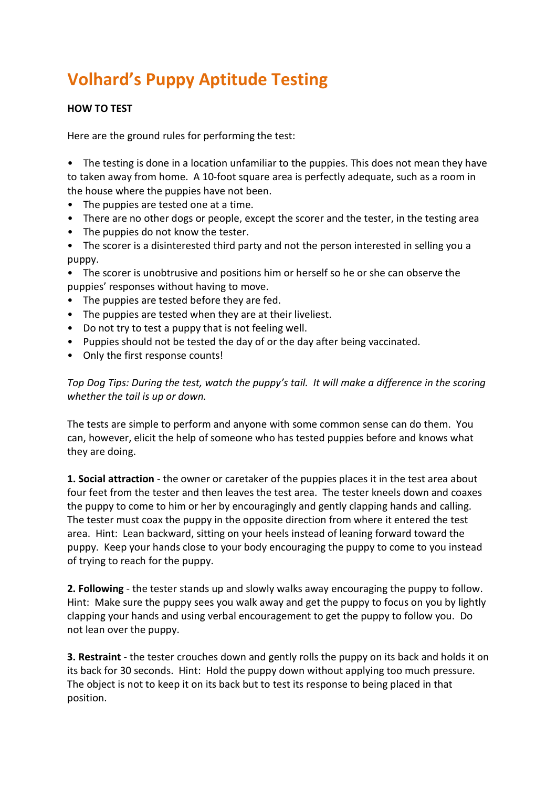# **Volhard's Puppy Aptitude Testing**

## **HOW TO TEST**

Here are the ground rules for performing the test:

• The testing is done in a location unfamiliar to the puppies. This does not mean they have to taken away from home. A 10-foot square area is perfectly adequate, such as a room in the house where the puppies have not been.

- The puppies are tested one at a time.
- There are no other dogs or people, except the scorer and the tester, in the testing area
- The puppies do not know the tester.
- The scorer is a disinterested third party and not the person interested in selling you a puppy.
- The scorer is unobtrusive and positions him or herself so he or she can observe the puppies' responses without having to move.
- The puppies are tested before they are fed.
- The puppies are tested when they are at their liveliest.
- Do not try to test a puppy that is not feeling well.
- Puppies should not be tested the day of or the day after being vaccinated.
- Only the first response counts!

*Top Dog Tips: During the test, watch the puppy's tail. It will make a difference in the scoring whether the tail is up or down.* 

The tests are simple to perform and anyone with some common sense can do them. You can, however, elicit the help of someone who has tested puppies before and knows what they are doing.

**1. Social attraction** - the owner or caretaker of the puppies places it in the test area about four feet from the tester and then leaves the test area. The tester kneels down and coaxes the puppy to come to him or her by encouragingly and gently clapping hands and calling. The tester must coax the puppy in the opposite direction from where it entered the test area. Hint: Lean backward, sitting on your heels instead of leaning forward toward the puppy. Keep your hands close to your body encouraging the puppy to come to you instead of trying to reach for the puppy.

**2. Following** - the tester stands up and slowly walks away encouraging the puppy to follow. Hint: Make sure the puppy sees you walk away and get the puppy to focus on you by lightly clapping your hands and using verbal encouragement to get the puppy to follow you. Do not lean over the puppy.

**3. Restraint** - the tester crouches down and gently rolls the puppy on its back and holds it on its back for 30 seconds. Hint: Hold the puppy down without applying too much pressure. The object is not to keep it on its back but to test its response to being placed in that position.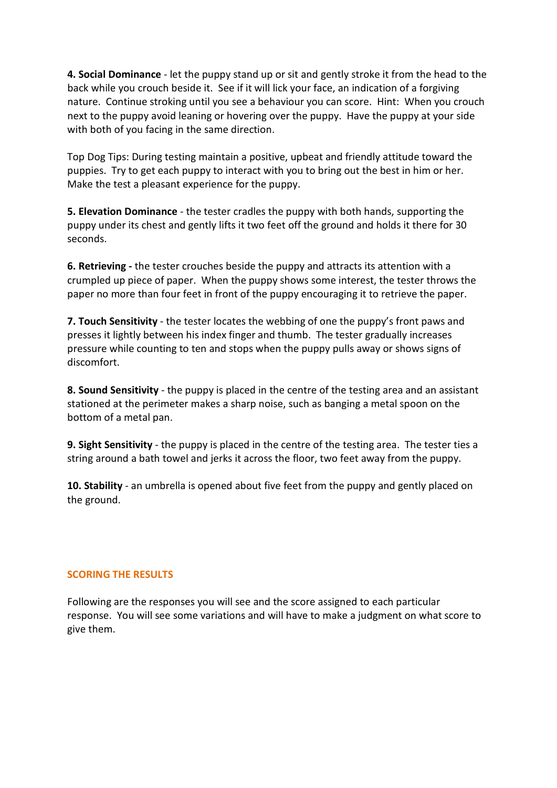**4. Social Dominance** - let the puppy stand up or sit and gently stroke it from the head to the back while you crouch beside it. See if it will lick your face, an indication of a forgiving nature. Continue stroking until you see a behaviour you can score. Hint: When you crouch next to the puppy avoid leaning or hovering over the puppy. Have the puppy at your side with both of you facing in the same direction.

Top Dog Tips: During testing maintain a positive, upbeat and friendly attitude toward the puppies. Try to get each puppy to interact with you to bring out the best in him or her. Make the test a pleasant experience for the puppy.

**5. Elevation Dominance** - the tester cradles the puppy with both hands, supporting the puppy under its chest and gently lifts it two feet off the ground and holds it there for 30 seconds.

**6. Retrieving -** the tester crouches beside the puppy and attracts its attention with a crumpled up piece of paper. When the puppy shows some interest, the tester throws the paper no more than four feet in front of the puppy encouraging it to retrieve the paper.

**7. Touch Sensitivity** - the tester locates the webbing of one the puppy's front paws and presses it lightly between his index finger and thumb. The tester gradually increases pressure while counting to ten and stops when the puppy pulls away or shows signs of discomfort.

**8. Sound Sensitivity** - the puppy is placed in the centre of the testing area and an assistant stationed at the perimeter makes a sharp noise, such as banging a metal spoon on the bottom of a metal pan.

**9. Sight Sensitivity** - the puppy is placed in the centre of the testing area. The tester ties a string around a bath towel and jerks it across the floor, two feet away from the puppy.

**10. Stability** - an umbrella is opened about five feet from the puppy and gently placed on the ground.

## **SCORING THE RESULTS**

Following are the responses you will see and the score assigned to each particular response. You will see some variations and will have to make a judgment on what score to give them.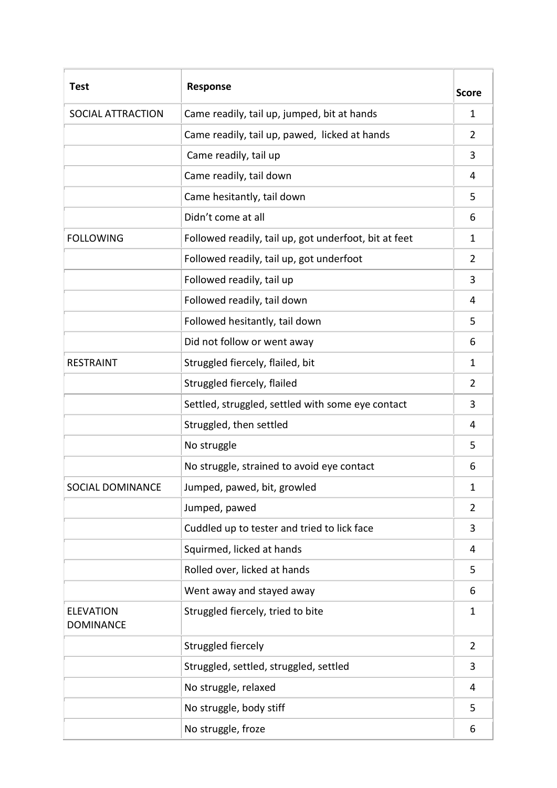| <b>Test</b>                          | <b>Response</b>                                       | <b>Score</b>   |
|--------------------------------------|-------------------------------------------------------|----------------|
| SOCIAL ATTRACTION                    | Came readily, tail up, jumped, bit at hands           | 1              |
|                                      | Came readily, tail up, pawed, licked at hands         | 2              |
|                                      | Came readily, tail up                                 | 3              |
|                                      | Came readily, tail down                               | 4              |
|                                      | Came hesitantly, tail down                            | 5              |
|                                      | Didn't come at all                                    | 6              |
| <b>FOLLOWING</b>                     | Followed readily, tail up, got underfoot, bit at feet | 1              |
|                                      | Followed readily, tail up, got underfoot              | $\overline{2}$ |
|                                      | Followed readily, tail up                             | 3              |
|                                      | Followed readily, tail down                           | 4              |
|                                      | Followed hesitantly, tail down                        | 5              |
|                                      | Did not follow or went away                           | 6              |
| <b>RESTRAINT</b>                     | Struggled fiercely, flailed, bit                      | 1              |
|                                      | Struggled fiercely, flailed                           | $\overline{2}$ |
|                                      | Settled, struggled, settled with some eye contact     | 3              |
|                                      | Struggled, then settled                               | 4              |
|                                      | No struggle                                           | 5              |
|                                      | No struggle, strained to avoid eye contact            | 6              |
| <b>SOCIAL DOMINANCE</b>              | Jumped, pawed, bit, growled                           | 1              |
|                                      | Jumped, pawed                                         | $\overline{2}$ |
|                                      | Cuddled up to tester and tried to lick face           | 3              |
|                                      | Squirmed, licked at hands                             | 4              |
|                                      | Rolled over, licked at hands                          | 5              |
|                                      | Went away and stayed away                             | 6              |
| <b>ELEVATION</b><br><b>DOMINANCE</b> | Struggled fiercely, tried to bite                     | 1              |
|                                      | Struggled fiercely                                    | $\overline{2}$ |
|                                      | Struggled, settled, struggled, settled                | 3              |
|                                      | No struggle, relaxed                                  | 4              |
|                                      | No struggle, body stiff                               | 5              |
|                                      | No struggle, froze                                    | 6              |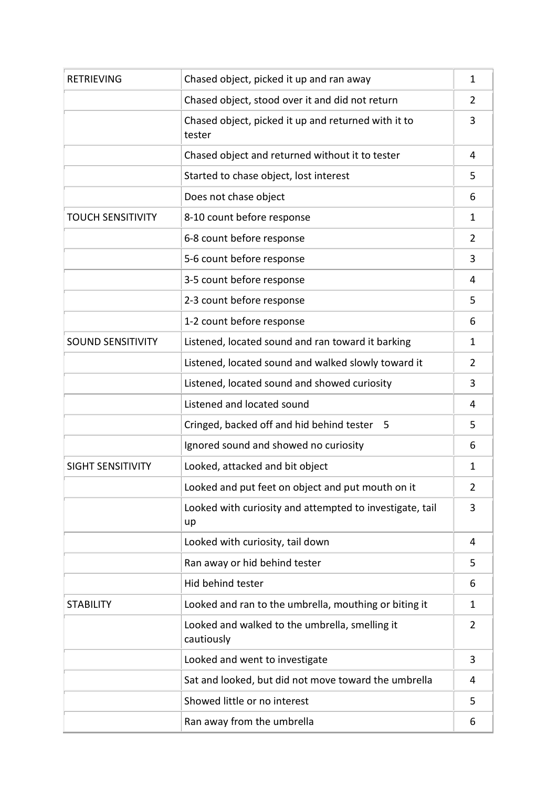| <b>RETRIEVING</b>        | Chased object, picked it up and ran away                       | $\mathbf{1}$   |
|--------------------------|----------------------------------------------------------------|----------------|
|                          | Chased object, stood over it and did not return                | 2              |
|                          | Chased object, picked it up and returned with it to<br>tester  | 3              |
|                          | Chased object and returned without it to tester                | 4              |
|                          | Started to chase object, lost interest                         | 5              |
|                          | Does not chase object                                          | 6              |
| <b>TOUCH SENSITIVITY</b> | 8-10 count before response                                     | 1.             |
|                          | 6-8 count before response                                      | $\overline{2}$ |
|                          | 5-6 count before response                                      | 3              |
|                          | 3-5 count before response                                      | 4              |
|                          | 2-3 count before response                                      | 5              |
|                          | 1-2 count before response                                      | 6              |
| <b>SOUND SENSITIVITY</b> | Listened, located sound and ran toward it barking              | 1              |
|                          | Listened, located sound and walked slowly toward it            | 2              |
|                          | Listened, located sound and showed curiosity                   | 3              |
|                          | Listened and located sound                                     | 4              |
|                          | Cringed, backed off and hid behind tester<br>5                 | 5              |
|                          | Ignored sound and showed no curiosity                          | 6              |
| <b>SIGHT SENSITIVITY</b> | Looked, attacked and bit object                                | 1              |
|                          | Looked and put feet on object and put mouth on it              | 2              |
|                          | Looked with curiosity and attempted to investigate, tail<br>up | 3              |
|                          | Looked with curiosity, tail down                               | 4              |
|                          | Ran away or hid behind tester                                  | 5              |
|                          | Hid behind tester                                              | 6              |
| <b>STABILITY</b>         | Looked and ran to the umbrella, mouthing or biting it          | 1              |
|                          | Looked and walked to the umbrella, smelling it<br>cautiously   | 2              |
|                          | Looked and went to investigate                                 | 3              |
|                          | Sat and looked, but did not move toward the umbrella           | 4              |
|                          | Showed little or no interest                                   | 5              |
|                          | Ran away from the umbrella                                     | 6              |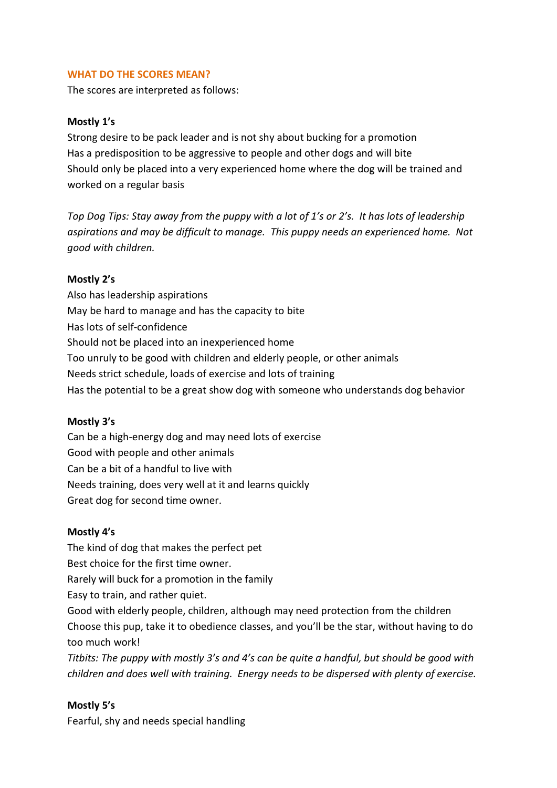## **WHAT DO THE SCORES MEAN?**

The scores are interpreted as follows:

## **Mostly 1's**

Strong desire to be pack leader and is not shy about bucking for a promotion Has a predisposition to be aggressive to people and other dogs and will bite Should only be placed into a very experienced home where the dog will be trained and worked on a regular basis

*Top Dog Tips: Stay away from the puppy with a lot of 1's or 2's. It has lots of leadership aspirations and may be difficult to manage. This puppy needs an experienced home. Not good with children.*

#### **Mostly 2's**

Also has leadership aspirations May be hard to manage and has the capacity to bite Has lots of self-confidence Should not be placed into an inexperienced home Too unruly to be good with children and elderly people, or other animals Needs strict schedule, loads of exercise and lots of training Has the potential to be a great show dog with someone who understands dog behavior

#### **Mostly 3's**

Can be a high-energy dog and may need lots of exercise Good with people and other animals Can be a bit of a handful to live with Needs training, does very well at it and learns quickly Great dog for second time owner.

#### **Mostly 4's**

The kind of dog that makes the perfect pet

Best choice for the first time owner.

Rarely will buck for a promotion in the family

Easy to train, and rather quiet.

Good with elderly people, children, although may need protection from the children Choose this pup, take it to obedience classes, and you'll be the star, without having to do too much work!

*Titbits: The puppy with mostly 3's and 4's can be quite a handful, but should be good with children and does well with training. Energy needs to be dispersed with plenty of exercise.*

## **Mostly 5's**

Fearful, shy and needs special handling